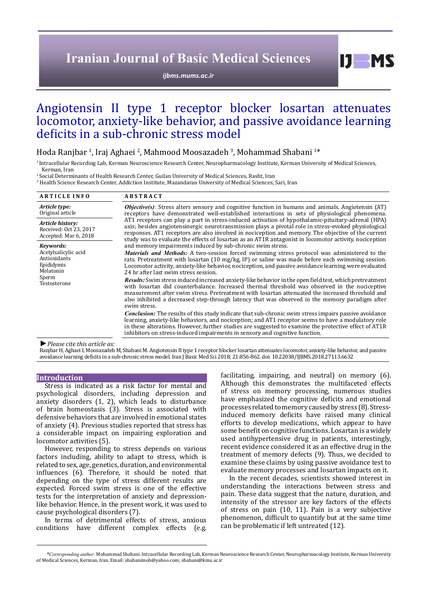# **Iranian Journal of Basic Medical Sciences**

*[ijbms.mums.ac.ir](http://ijbms.mums.ac.ir)*

# Angiotensin II type 1 receptor blocker losartan attenuates locomotor, anxiety-like behavior, and passive avoidance learning deficits in a sub-chronic stress model

# Hoda Ranjbar <sup>1</sup>, Iraj Aghaei <sup>2</sup>, Mahmood Moosazadeh <sup>3</sup>, Mohammad Shabani <sup>1</sup>\*

1 Intracellular Recording Lab, Kerman Neuroscience Research Center, Neuropharmacology Institute, Kerman University of Medical Sciences, Kerman, Iran

2 Social Determinants of Health Research Center, Guilan University of Medical Sciences, Rasht, Iran

3 Health Science Research Center, Addiction Institute, Mazandaran University of Medical Sciences, Sari, Iran

| <b>ARTICLE INFO</b>                                                                                   | <b>ABSTRACT</b>                                                                                                                                                                                                                                                                                                                                                                                                                                                                                                                                                                                                                                  |
|-------------------------------------------------------------------------------------------------------|--------------------------------------------------------------------------------------------------------------------------------------------------------------------------------------------------------------------------------------------------------------------------------------------------------------------------------------------------------------------------------------------------------------------------------------------------------------------------------------------------------------------------------------------------------------------------------------------------------------------------------------------------|
| Article type:<br>Original article                                                                     | <b><i>Objective(s)</i></b> : Stress alters sensory and cognitive function in humans and animals. Angiotensin (AT)<br>receptors have demonstrated well-established interactions in sets of physiological phenomena.<br>AT1 receptors can play a part in stress-induced activation of hypothalamic-pituitary-adrenal (HPA)<br>axis; besides angiotensinergic neurotransmission plays a pivotal role in stress-evoked physiological<br>responses. AT1 receptors are also involved in nociception and memory. The objective of the current<br>study was to evaluate the effects of losartan as an AT1R antagonist in locomotor activity, nociception |
| Article history:<br>Received: Oct 23, 2017<br>Accepted: Mar 6, 2018                                   |                                                                                                                                                                                                                                                                                                                                                                                                                                                                                                                                                                                                                                                  |
| Kevwords:<br>Acetylsalicylic acid<br>Antioxidants<br>Epididymis<br>Melatonin<br>Sperm<br>Testosterone | and memory impairments induced by sub-chronic swim stress.                                                                                                                                                                                                                                                                                                                                                                                                                                                                                                                                                                                       |
|                                                                                                       | Materials and Methods: A two-session forced swimming stress protocol was administered to the<br>rats. Pretreatment with losartan $(10 \text{ mg/kg}, IP)$ or saline was made before each swimming session.<br>Locomotor activity, anxiety-like behavior, nociception, and passive avoidance learning were evaluated<br>24 hr after last swim stress session.                                                                                                                                                                                                                                                                                     |
|                                                                                                       | Results: Swim stress induced increased anxiety-like behavior in the open field test, which pretreatment<br>with losartan did counterbalance. Increased thermal threshold was observed in the nociceptive<br>measurement after swim stress. Pretreatment with losartan attenuated the increased threshold and<br>also inhibited a decreased step-through latency that was observed in the memory paradigm after<br>swim stress.                                                                                                                                                                                                                   |
|                                                                                                       | <b>Conclusion:</b> The results of this study indicate that sub-chronic swim stress impairs passive avoidance<br>learning, anxiety-like behaviors, and nociception; and AT1 receptor seems to have a modulatory role<br>in these alterations. However, further studies are suggested to examine the protective effect of AT1R<br>inhibitors on stress-induced impairments in sensory and cognitive function.                                                                                                                                                                                                                                      |
| $\blacktriangleright$ Dlogge cita this article as:                                                    |                                                                                                                                                                                                                                                                                                                                                                                                                                                                                                                                                                                                                                                  |

*►Please cite this article as:*

Ranjbar H, Aghaei I, Moosazadeh M, Shabani M. Angiotensin II type 1 receptor blocker losartan attenuates locomotor, anxiety-like behavior, and passive avoidance learning deficits in a sub-chronic stress model. Iran J Basic Med Sci 2018; 21:856-862. doi: 10.22038/IJBMS.2018.27113.6632

#### **Introduction**

Stress is indicated as a risk factor for mental and psychological disorders, including depression and anxiety disorders (1, 2), which leads to disturbance of brain homeostasis (3). Stress is associated with defensive behaviors that are involved in emotional states of anxiety (4). Previous studies reported that stress has a considerable impact on impairing exploration and locomotor activities (5).

However, responding to stress depends on various factors including, ability to adapt to stress, which is related to sex, age, genetics, duration, and environmental influences (6). Therefore, it should be noted that depending on the type of stress different results are expected. Forced swim stress is one of the effective tests for the interpretation of anxiety and depressionlike behavior. Hence, in the present work, it was used to cause psychological disorders (7).

In terms of detrimental effects of stress, anxious conditions have different complex effects (e.g. facilitating, impairing, and neutral) on memory (6). Although this demonstrates the multifaceted effects of stress on memory processing, numerous studies have emphasized the cognitive deficits and emotional processes related to memory caused by stress (8). Stressinduced memory deficits have raised many clinical efforts to develop medications, which appear to have some benefit on cognitive functions. Losartan is a widely used antihypertensive drug in patients, interestingly, recent evidence considered it as an effective drug in the treatment of memory defects (9). Thus, we decided to examine these claims by using passive avoidance test to evaluate memory processes and losartan impacts on it.

 $I$   $I$   $M$   $S$ 

In the recent decades, scientists showed interest in understanding the interactions between stress and pain. These data suggest that the nature, duration, and intensity of the stressor are key factors of the effects of stress on pain (10, 11). Pain is a very subjective phenomenon, difficult to quantify but at the same time can be problematic if left untreated (12).

*\*Corresponding author:* Mohammad Shabani. Intracellular Recording Lab, Kerman Neuroscience Research Center, Neuropharmacology Institute, Kerman University of Medical Sciences, Kerman, Iran. Email: shabanimoh@yahoo.com; shabani@kmu.ac.ir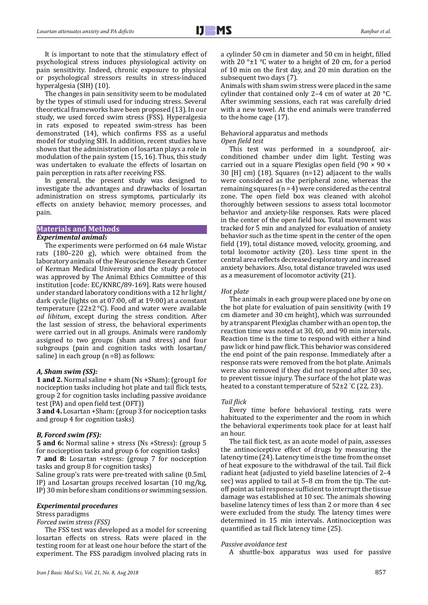It is important to note that the stimulatory effect of psychological stress induces physiological activity on pain sensitivity. Indeed, chronic exposure to physical or psychological stressors results in stress-induced hyperalgesia (SIH) (10).

The changes in pain sensitivity seem to be modulated by the types of stimuli used for inducing stress. Several theoretical frameworks have been proposed (13). In our study, we used forced swim stress (FSS). Hyperalgesia in rats exposed to repeated swim-stress has been demonstrated (14), which confirms FSS as a useful model for studying SIH. In addition, recent studies have shown that the administration of losartan plays a role in modulation of the pain system (15, 16). Thus, this study was undertaken to evaluate the effects of losartan on pain perception in rats after receiving FSS.

In general, the present study was designed to investigate the advantages and drawbacks of losartan administration on stress symptoms, particularly its effects on anxiety behavior, memory processes, and pain.

#### **Materials and Methods**

#### *Experimental animals*

The experiments were performed on 64 male Wistar rats (180–220 g), which were obtained from the laboratory animals of the Neuroscience Research Center of Kerman Medical University and the study protocol was approved by The Animal Ethics Committee of this institution [code: EC/KNRC/89-169]. Rats were housed under standard laboratory conditions with a 12 hr light/ dark cycle (lights on at 07:00, off at 19:00) at a constant temperature (22 $\pm$ 2 °C). Food and water were available *ad libitum*, except during the stress condition. After the last session of stress, the behavioral experiments were carried out in all groups. Animals were randomly assigned to two groups (sham and stress) and four subgroups (pain and cognition tasks with losartan/ saline) in each group  $(n=8)$  as follows:

#### *A, Sham swim (SS):*

**1 and 2.** Normal saline + sham (Ns +Sham): (group1 for nociception tasks including hot plate and tail flick tests, group 2 for cognition tasks including passive avoidance test (PA) and open field test (OFT))

**3 and 4.** Losartan +Sham: (group 3 for nociception tasks and group 4 for cognition tasks)

#### *B, Forced swim (FS):*

**5 and 6:** Normal saline + stress (Ns +Stress): (group 5 for nociception tasks and group 6 for cognition tasks) **7 and 8:** Losartan +stress: (group 7 for nociception tasks and group 8 for cognition tasks)

Saline group's rats were pre-treated with saline (0.5ml, IP) and Losartan groups received losartan (10 mg/kg, IP) 30 min before sham conditions or swimming session.

# *Experimental procedures*

Stress paradigms

# *Forced swim stress (FSS)*

The FSS test was developed as a model for screening losartan effects on stress. Rats were placed in the testing room for at least one hour before the start of the experiment. The FSS paradigm involved placing rats in

a cylinder 50 cm in diameter and 50 cm in height, filled with 20  $\degree$  ±1  $\degree$ C water to a height of 20 cm, for a period of 10 min on the first day, and 20 min duration on the subsequent two days (7).

Animals with sham swim stress were placed in the same cylinder that contained only 2–4 cm of water at 20 °C. After swimming sessions, each rat was carefully dried with a new towel. At the end animals were transferred to the home cage (17).

#### Behavioral apparatus and methods *Open field test*

This test was performed in a soundproof, airconditioned chamber under dim light. Testing was carried out in a square Plexiglas open field (90 × 90 × 30 [H] cm) (18). Squares (n=12) adjacent to the walls were considered as the peripheral zone, whereas the remaining squares  $(n = 4)$  were considered as the central zone. The open field box was cleaned with alcohol thoroughly between sessions to assess total locomotor behavior and anxiety-like responses. Rats were placed in the center of the open field box. Total movement was tracked for 5 min and analyzed for evaluation of anxiety behavior such as the time spent in the center of the open field (19), total distance moved, velocity, grooming, and total locomotor activity (20). Less time spent in the central area reflects decreased exploratory and increased anxiety behaviors. Also, total distance traveled was used as a measurement of locomotor activity (21).

#### *Hot plate*

The animals in each group were placed one by one on the hot plate for evaluation of pain sensitivity (with 19 cm diameter and 30 cm height), which was surrounded by a transparent Plexiglas chamber with an open top, the reaction time was noted at 30, 60, and 90 min intervals. Reaction time is the time to respond with either a hind paw lick or hind paw flick. This behavior was considered the end point of the pain response. Immediately after a response rats were removed from the hot plate. Animals were also removed if they did not respond after 30 sec, to prevent tissue injury. The surface of the hot plate was heated to a constant temperature of 52±2 ° C (22, 23).

#### *Tail flick*

Every time before behavioral testing, rats were habituated to the experimenter and the room in which the behavioral experiments took place for at least half an hour.

The tail flick test, as an acute model of pain, assesses the antinociceptive effect of drugs by measuring the latency time (24). Latency time is the time from the onset of heat exposure to the withdrawal of the tail. Tail flick radiant heat (adjusted to yield baseline latencies of 2–4 sec) was applied to tail at 5–8 cm from the tip. The cutoff point as tail response sufficient to interrupt the tissue damage was established at 10 sec. The animals showing baseline latency times of less than 2 or more than 4 sec were excluded from the study. The latency times were determined in 15 min intervals. Antinociception was quantified as tail flick latency time (25).

#### *Passive avoidance test*

A shuttle-box apparatus was used for passive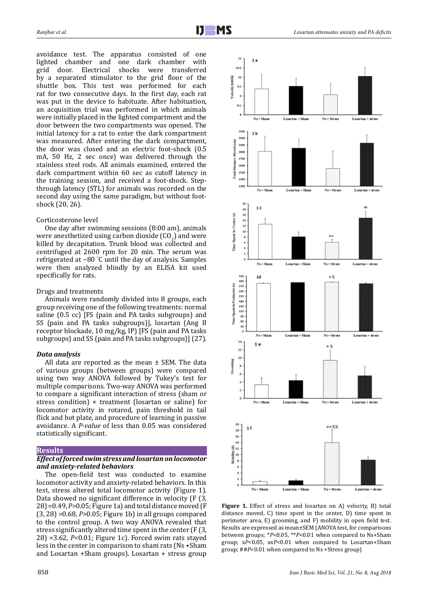avoidance test. The apparatus consisted of one lighted chamber and one dark chamber with door. Electrical shocks were transferred by a separated stimulator to the grid floor of the shuttle box. This test was performed for each rat for two consecutive days. In the first day, each rat was put in the device to habituate. After habituation, an acquisition trial was performed in which animals were initially placed in the lighted compartment and the door between the two compartments was opened. The initial latency for a rat to enter the dark compartment was measured. After entering the dark compartment, the door was closed and an electric foot-shock (0.5 mA, 50 Hz, 2 sec once) was delivered through the stainless steel rods. All animals examined, entered the dark compartment within 60 sec as cutoff latency in the training session, and received a foot-shock. Stepthrough latency (STL) for animals was recorded on the second day using the same paradigm, but without footshock (20, 26).

#### Corticosterone level

One day after swimming sessions (8:00 am), animals were anesthetized using carbon dioxide  $(CO_2)$  and were killed by decapitation. Trunk blood was collected and centrifuged at 2600 rpm for 20 min. The serum was refrigerated at −80 ° C until the day of analysis. Samples were then analyzed blindly by an ELISA kit used specifically for rats.

#### Drugs and treatments

Animals were randomly divided into 8 groups, each group receiving one of the following treatments: normal saline (0.5 cc) [FS (pain and PA tasks subgroups) and SS (pain and PA tasks subgroups)], losartan (Ang II receptor blockade, 10 mg/kg, IP) [FS (pain and PA tasks subgroups) and SS (pain and PA tasks subgroups)] (27).

# *Data analysis*

All data are reported as the mean  $\pm$  SEM. The data of various groups (between groups) were compared using two way ANOVA followed by Tukey's test for multiple comparisons. Two-way ANOVA was performed to compare a significant interaction of stress (sham or stress condition) × treatment (losartan or saline) for locomotor activity in rotarod, pain threshold in tail flick and hot plate, and procedure of learning in passive avoidance. A *P-value* of less than 0.05 was considered statistically significant.

## **Results**

# *Effect of forced swim stress and losartan on locomotor and anxiety-related behaviors*

The open-field test was conducted to examine locomotor activity and anxiety-related behaviors. In this test, stress altered total locomotor activity (Figure 1). Data showed no significant difference in velocity (F (3, 28) =0.49, *P>*0.05; Figure 1a) and total distance moved (F (3, 28) =0.68, *P>*0.05; Figure 1b) in all groups compared to the control group. A two way ANOVA revealed that stress significantly altered time spent in the center (F (3, 28) =3.62, *P<*0.01; Figure 1c). Forced swim rats stayed less in the center in comparison to sham rats (Ns +Sham and Losartan +Sham groups). Losartan + stress group



Figure 1. Effect of stress and losartan on A) velocity, B) total distance moved, C) time spent in the center, D) time spent in perimeter area, E) grooming, and F) mobility in open field test. Results are expressed as mean±SEM (ANOVA test, for comparisons between groups; \**P*<0.05, \*\**P*<0.01 when compared to Ns+Sham group; x*P*<0.05, xx*P*<0.01 when compared to Losartan+Sham group; ##*P*<0.01 when compared to Ns +Stress group)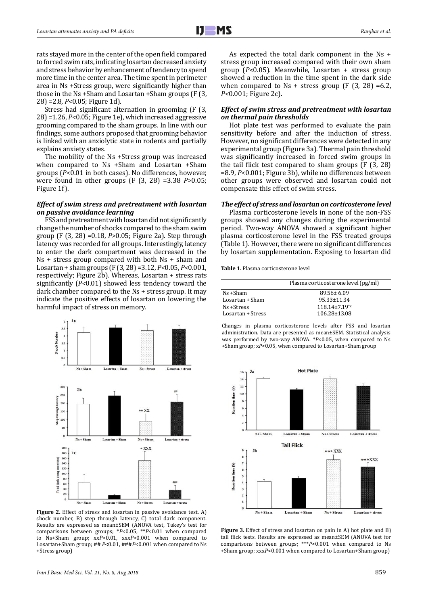rats stayed more in the center of the open field compared to forced swim rats, indicating losartan decreased anxiety and stress behavior by enhancement of tendency to spend more time in the center area. The time spent in perimeter area in Ns +Stress group, were significantly higher than those in the Ns +Sham and Losartan +Sham groups (F (3, 28) =2.8*, P<*0.05; Figure 1d).

Stress had significant alternation in grooming (F (3, 28) =1.26, *P<*0.05; Figure 1e), which increased aggressive grooming compared to the sham groups. In line with our findings, some authors proposed that grooming behavior is linked with an anxiolytic state in rodents and partially explains anxiety states.

The mobility of the Ns +Stress group was increased when compared to Ns +Sham and Losartan +Sham groups (*P<*0.01 in both cases). No differences, however, were found in other groups (F (3, 28) =3.38 *P>*0.05; Figure 1f).

## *Effect of swim stress and pretreatment with losartan on passive avoidance learning*

FSS and pretreatment with losartan did not significantly change the number of shocks compared to the sham swim group (F (3, 28) =0.18, *P>*0.05; Figure 2a). Step through latency was recorded for all groups. Interestingly, latency to enter the dark compartment was decreased in the Ns + stress group compared with both Ns + sham and Losartan + sham groups (F (3, 28) =3.12, *P<*0.05, *P<*0.001, respectively; Figure 2b). Whereas, Losartan + stress rats significantly (*P<*0.01) showed less tendency toward the dark chamber compared to the Ns + stress group. It may indicate the positive effects of losartan on lowering the harmful impact of stress on memory.



Figure 2. Effect of stress and losartan in passive avoidance test. A) shock number, B) step through latency, C) total dark component. Results are expressed as mean±SEM (ANOVA test, Tukey's test for comparisons between groups; \**P*<0.05, \*\**P*<0.01 when compared to Ns+Sham group; xx*P*<0.01, xxx*P*<0.001 when compared to Losartan+Sham group; ## *P*<0.01, ###*P*<0.001 when compared to Ns +Stress group)

As expected the total dark component in the Ns + stress group increased compared with their own sham group (*P<*0.05). Meanwhile, Losartan + stress group showed a reduction in the time spent in the dark side when compared to  $Ns$  + stress group (F (3, 28) =6.2, *P<*0.001; Figure 2c).

# *Effect of swim stress and pretreatment with losartan on thermal pain thresholds*

Hot plate test was performed to evaluate the pain sensitivity before and after the induction of stress. However, no significant differences were detected in any experimental group (Figure 3a). Thermal pain threshold was significantly increased in forced swim groups in the tail flick test compared to sham groups (F (3, 28) =8.9, *P<*0.001; Figure 3b), while no differences between other groups were observed and losartan could not compensate this effect of swim stress.

# *The effect of stress and losartan on corticosterone level*

Plasma corticosterone levels in none of the non-FSS groups showed any changes during the experimental period. Two-way ANOVA showed a significant higher plasma corticosterone level in the FSS treated groups (Table 1). However, there were no significant differences by losartan supplementation. Exposing to losartan did

**Table 1.** Plasma corticosterone level

|                   | Plasma corticosterone level (pg/ml) |
|-------------------|-------------------------------------|
| Ns +Sham          | $89.56 \pm 6.09$                    |
| Losartan + Sham   | 95.33±11.34                         |
| Ns +Stress        | $118.14 \pm 7.19^{*}x$              |
| Losartan + Stress | $106.28 \pm 13.08$                  |

Changes in plasma corticosterone levels after FSS and losartan administration. Data are presented as mean±SEM. Statistical analysis was performed by two-way ANOVA. \**P*<0.05, when compared to Ns +Sham group; x*P*<0.05, when compared to Losartan+Sham group



**Figure 3.** Effect of stress and losartan on pain in A) hot plate and B) tail flick tests. Results are expressed as mean±SEM (ANOVA test for comparisons between groups; \*\*\**P*<0.001 when compared to Ns +Sham group; xxx*P*<0.001 when compared to Losartan+Sham group)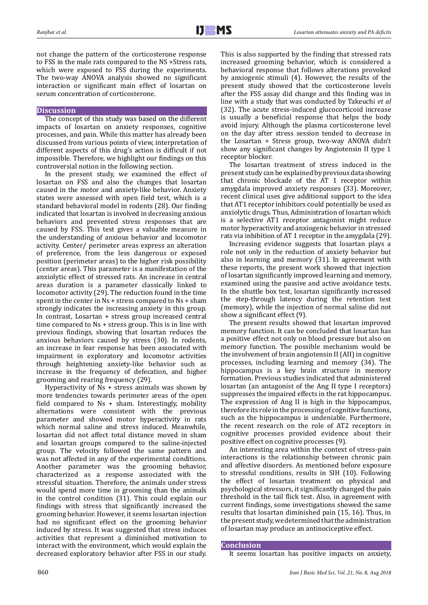not change the pattern of the corticosterone response to FSS in the male rats compared to the NS +Stress rats, which were exposed to FSS during the experiments. The two-way ANOVA analysis showed no significant interaction or significant main effect of losartan on serum concentration of corticosterone.

# **Discussion**

The concept of this study was based on the different impacts of losartan on anxiety responses, cognitive processes, and pain. While this matter has already been discussed from various points of view, interpretation of different aspects of this drug's action is difficult if not impossible. Therefore, we highlight our findings on this controversial notion in the following section.

In the present study, we examined the effect of losartan on FSS and also the changes that losartan caused in the motor and anxiety-like behavior. Anxiety states were assessed with open field test, which is a standard behavioral model in rodents (28). Our finding indicated that losartan is involved in decreasing anxious behaviors and prevented stress responses that are caused by FSS. This test gives a valuable measure in the understanding of anxious behavior and locomotor activity. Center/ perimeter areas express an alteration of preference, from the less dangerous or exposed position (perimeter areas) to the higher risk possibility (center areas). This parameter is a manifestation of the anxiolytic effect of stressed rats. An increase in central areas duration is a parameter classically linked to locomotor activity (29). The reduction found in the time spent in the center in Ns + stress compared to Ns + sham strongly indicates the increasing anxiety in this group. In contrast, Losartan + stress group increased central time compared to Ns + stress group. This is in line with previous findings, showing that losartan reduces the anxious behaviors caused by stress (30). In rodents, an increase in fear response has been associated with impairment in exploratory and locomotor activities through heightening anxiety-like behavior such as increase in the frequency of defecation, and higher grooming and rearing frequency (29).

Hyperactivity of Ns + stress animals was shown by more tendencies towards perimeter areas of the open field compared to  $Ns + sham$ . Interestingly, mobility alternations were consistent with the previous parameter and showed motor hyperactivity in rats which normal saline and stress induced. Meanwhile, losartan did not affect total distance moved in sham and losartan groups compared to the saline-injected group. The velocity followed the same pattern and was not affected in any of the experimental conditions. Another parameter was the grooming behavior, characterized as a response associated with the stressful situation. Therefore, the animals under stress would spend more time in grooming than the animals in the control condition (31). This could explain our findings with stress that significantly increased the grooming behavior. However, it seems losartan injection had no significant effect on the grooming behavior induced by stress. It was suggested that stress induces activities that represent a diminished motivation to interact with the environment, which would explain the decreased exploratory behavior after FSS in our study. This is also supported by the finding that stressed rats increased grooming behavior, which is considered a behavioral response that follows alterations provoked by anxiogenic stimuli (4). However, the results of the present study showed that the corticosterone levels after the FSS assay did change and this finding was in line with a study that was conducted by Takeuchi *et al*  (32). The acute stress-induced glucocorticoid increase is usually a beneficial response that helps the body avoid injury. Although the plasma corticosterone level on the day after stress session tended to decrease in the Losartan + Stress group, two-way ANOVA didn't show any significant changes by Angiotensin II type 1 receptor blocker.

The losartan treatment of stress induced in the present study can be explained by previous data showing that chronic blockade of the AT 1 receptor within amygdala improved anxiety responses (33). Moreover, recent clinical uses give additional support to the idea that AT1 receptor inhibitors could potentially be used as anxiolytic drugs. Thus, Administration of losartan which is a selective AT1 receptor antagonist might reduce motor hyperactivity and anxiogenic behavior in stressed rats via inhibition of AT 1 receptor in the amygdala (29).

Increasing evidence suggests that losartan plays a role not only in the reduction of anxiety behavior but also in learning and memory (31). In agreement with these reports, the present work showed that injection of losartan significantly improved learning and memory, examined using the passive and active avoidance tests. In the shuttle box test, losartan significantly increased the step-through latency during the retention test (memory), while the injection of normal saline did not show a significant effect (9).

The present results showed that losartan improved memory function. It can be concluded that losartan has a positive effect not only on blood pressure but also on memory function. The possible mechanism would be the involvement of brain angiotensin II (AII) in cognitive processes, including learning and memory (34). The hippocampus is a key brain structure in memory formation. Previous studies indicated that administered losartan (an antagonist of the Ang II type I receptors) suppresses the impaired effects in the rat hippocampus. The expression of Ang II is high in the hippocampus, therefore its role in the processing of cognitive functions, such as the hippocampus is undeniable. Furthermore, the recent research on the role of AT2 receptors in cognitive processes provided evidence about their positive effect on cognitive processes (9).

An interesting area within the context of stress-pain interactions is the relationship between chronic pain and affective disorders. As mentioned before exposure to stressful conditions, results in SIH (10). Following the effect of losartan treatment on physical and psychological stressors, it significantly changed the pain threshold in the tail flick test. Also, in agreement with current findings, some investigations showed the same results that losartan diminished pain (15, 16). Thus, in the present study, we determined that the administration of losartan may produce an antinociceptive effect.

#### **Conclusion**

It seems losartan has positive impacts on anxiety,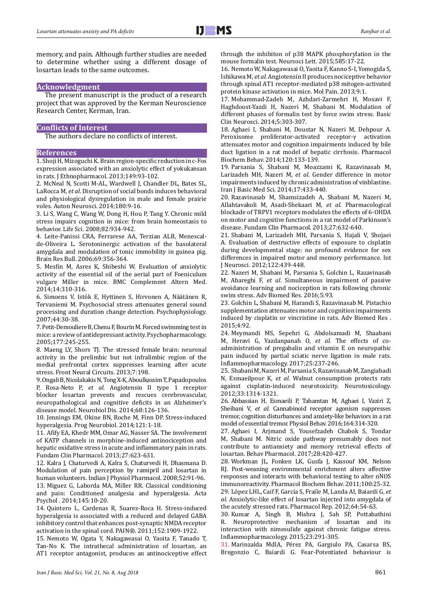

memory, and pain. Although further studies are needed to determine whether using a different dosage of losartan leads to the same outcomes.

#### **Acknowledgment**

The present manuscript is the product of a research project that was approved by the Kerman Neuroscience Research Center, Kerman, Iran.

# **Conflicts of Interest**

The authors declare no conflicts of interest.

# **References**

1. Shoji H, Mizoguchi K. Brain region-specific reduction in c-Fos expression associated with an anxiolytic effect of yokukansan in rats. J Ethnopharmacol. 2013;149:93-102.

2. McNeal N, Scotti M-AL, Wardwell J, Chandler DL, Bates SL, LaRocca M, *et al*. Disruption of social bonds induces behavioral and physiological dysregulation in male and female prairie voles. Auton Neurosci. 2014;180:9-16.

3. Li S, Wang C, Wang W, Dong H, Hou P, Tang Y. Chronic mild stress impairs cognition in mice: from brain homeostasis to behavior. Life Sci. 2008;82:934-942.

4. Leite-Panissi CRA, Ferrarese AA, Terzian ALB, Menescalde-Oliveira L. Serotoninergic activation of the basolateral amygdala and modulation of tonic immobility in guinea pig. Brain Res Bull. 2006;69:356-364.

5. Mesfin M, Asres K, Shibeshi W. Evaluation of anxiolytic activity of the essential oil of the aerial part of Foeniculum vulgare Miller in mice. BMC Complement Altern Med. 2014;14:310-316.

6. Simoens V, Istók E, Hyttinen S, Hirvonen A, Näätänen R, Tervaniemi M. Psychosocial stress attenuates general sound processing and duration change detection. Psychophysiology. 2007;44:30-38.

7. Petit-Demouliere B, Chenu F, Bourin M. Forced swimming test in mice: a review of antidepressant activity. Psychopharmacology. 2005;177:245-255.

8. Maeng LY, Shors TJ. The stressed female brain: neuronal activity in the prelimbic but not infralimbic region of the medial prefrontal cortex suppresses learning after acute stress. Front Neural Circuits. 2013;7:198.

9. Ongali B, Nicolakakis N, Tong X-K, Aboulkassim T, Papadopoulos P, Rosa-Neto P, *et al*. Angiotensin II type 1 receptor blocker losartan prevents and rescues cerebrovascular, neuropathological and cognitive deficits in an Alzheimer's disease model. Neurobiol Dis. 2014;68:126-136.

10. Jennings EM, Okine BN, Roche M, Finn DP. Stress-induced hyperalgesia. Prog Neurobiol. 2014;121:1-18.

11. Afify EA, Khedr MM, Omar AG, Nasser SA. The involvement of KATP channels in morphine-induced antinociception and hepatic oxidative stress in acute and inflammatory pain in rats. Fundam Clin Pharmacol. 2013;27:623-631.

12. Kalra J, Chaturvedi A, Kalra S, Chaturvedi H, Dhasmana D. Modulation of pain perception by ramipril and losartan in human volunteers. Indian J Physiol Pharmacol. 2008;52:91-96. 13. Miguez G, Laborda MA, Miller RR. Classical conditioning

and pain: Conditioned analgesia and hyperalgesia. Acta Psychol . 2014;145:10-20.

14. Quintero L, Cardenas R, Suarez-Roca H. Stress-induced hyperalgesia is associated with a reduced and delayed GABA inhibitory control that enhances post-synaptic NMDA receptor activation in the spinal cord. PAIN®. 2011;152:1909-1922.

15. Nemoto W, Ogata Y, Nakagawasai O, Yaoita F, Tanado T, Tan-No K. The intrathecal administration of losartan, an AT1 receptor antagonist, produces an antinociceptive effect through the inhibiton of p38 MAPK phosphorylation in the mouse formalin test. Neurosci Lett. 2015;585:17-22.

16. Nemoto W, Nakagawasai O, Yaoita F, Kanno S-I, Yomogida S, Ishikawa M, *et al*. Angiotensin II produces nociceptive behavior through spinal AT1 receptor-mediated p38 mitogen-activated protein kinase activation in mice. Mol Pain. 2013;9:1.

17. Mohammad-Zadeh M, Azhdari-Zarmehri H, Mosavi F, Haghdoost-Yazdi H, Nazeri M, Shabani M. Modulation of different phases of formalin test by force swim stress. Basic Clin Neurosci. 2014;5:303-307.

18. Aghaei I, Shabani M, Doustar N, Nazeri M, Dehpour A. Peroxisome proliferator-activated receptor-γ activation attenuates motor and cognition impairments induced by bile duct ligation in a rat model of hepatic cirrhosis. Pharmacol Biochem Behav. 2014;120:133-139.

19. Parsania S, Shabani M, Moazzami K, Razavinasab M, Larizadeh MH, Nazeri M, *et al*. Gender difference in motor impairments induced by chronic administration of vinblastine. Iran J Basic Med Sci. 2014;17:433-440.

20. Razavinasab M, Shamsizadeh A, Shabani M, Nazeri M, Allahtavakoli M, Asadi-Shekaari M, *et al*. Pharmacological blockade of TRPV1 receptors modulates the effects of 6‐OHDA on motor and cognitive functions in a rat model of Parkinson's disease. Fundam Clin Pharmacol. 2013;27:632-640.

21. Shabani M, Larizadeh MH, Parsania S, Hajali V, Shojaei A. Evaluation of destructive effects of exposure to cisplatin during developmental stage: no profound evidence for sex differences in impaired motor and memory performance. Int J Neurosci. 2012;122:439-448.

22. Nazeri M, Shabani M, Parsania S, Golchin L, Razavinasab M, Abareghi F, *et al*. Simultaneous impairment of passive avoidance learning and nociception in rats following chronic swim stress. Adv Biomed Res. 2016;5:93.

23. Golchin L, Shabani M, Harandi S, Razavinasab M. Pistachio supplementation attenuates motor and cognition impairments induced by cisplatin or vincristine in rats. Adv Biomed Res . 2015;4:92.

24. Meymandi MS, Sepehri G, Abdolsamadi M, Shaabani M, Heravi G, Yazdanpanah O, *et al*. The effects of coadministration of pregabalin and vitamin E on neuropathic pain induced by partial sciatic nerve ligation in male rats. Inflammopharmacology. 2017;25:237-246.

25. Shabani M, Nazeri M, Parsania S, Razavinasab M, Zangiabadi N, Esmaeilpour K, *et al*. Walnut consumption protects rats against cisplatin-induced neurotoxicity. Neurotoxicology. 2012;33:1314-1321.

26. Abbassian H, Esmaeili P, Tahamtan M, Aghaei I, Vaziri Z, Sheibani V, *et al*. Cannabinoid receptor agonism suppresses tremor, cognition disturbances and anxiety-like behaviors in a rat model of essential tremor. Physiol Behav. 2016;164:314-320.

27. Aghaei I, Arjmand S, Yousefzadeh Chabok S, Tondar M, Shabani M. Nitric oxide pathway presumably does not contribute to antianxiety and memory retrieval effects of losartan. Behav Pharmacol. 2017;28:420-427.

28. Workman JL, Fonken LK, Gusfa J, Kassouf KM, Nelson RJ. Post-weaning environmental enrichment alters affective responses and interacts with behavioral testing to alter nNOS immunoreactivity. Pharmacol Biochem Behav. 2011;100:25-32. 29. López LHL, Caif F, García S, Fraile M, Landa AI, Baiardi G, *et al*. Anxiolytic-like effect of losartan injected into amygdala of the acutely stressed rats. Pharmacol Rep. 2012;64:54-63.

30. Kumar A, Singh B, Mishra J, Sah SP, Pottabathini Neuroprotective mechanism of losartan and its interaction with nimesulide against chronic fatigue stress. Inflammopharmacology. 2015;23:291-305.

31. Marinzalda MdlA, Pérez PA, Gargiulo PA, Casarsa BS, Bregonzio C, Baiardi G. Fear-Potentiated behaviour is